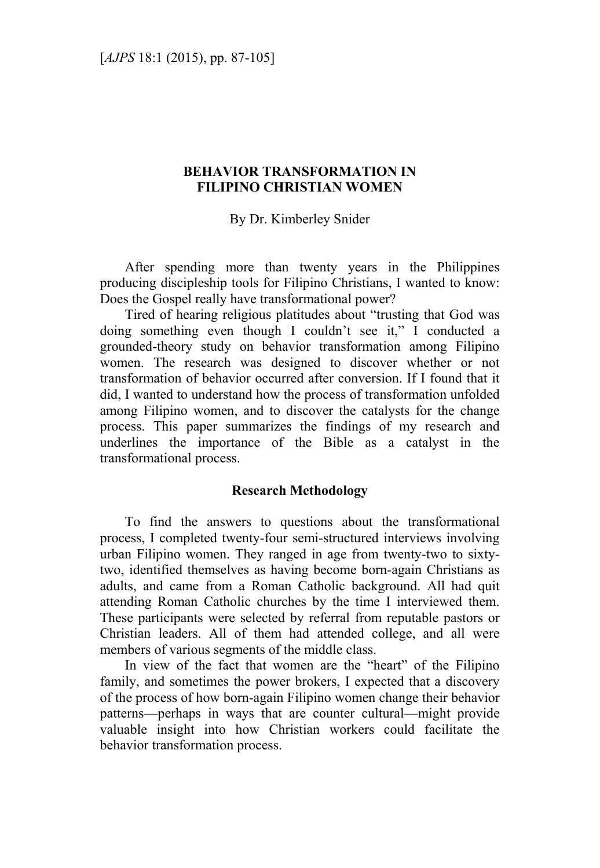# **BEHAVIOR TRANSFORMATION IN FILIPINO CHRISTIAN WOMEN**

By Dr. Kimberley Snider

After spending more than twenty years in the Philippines producing discipleship tools for Filipino Christians, I wanted to know: Does the Gospel really have transformational power?

Tired of hearing religious platitudes about "trusting that God was doing something even though I couldn't see it," I conducted a grounded-theory study on behavior transformation among Filipino women. The research was designed to discover whether or not transformation of behavior occurred after conversion. If I found that it did, I wanted to understand how the process of transformation unfolded among Filipino women, and to discover the catalysts for the change process. This paper summarizes the findings of my research and underlines the importance of the Bible as a catalyst in the transformational process.

### **Research Methodology**

To find the answers to questions about the transformational process, I completed twenty-four semi-structured interviews involving urban Filipino women. They ranged in age from twenty-two to sixtytwo, identified themselves as having become born-again Christians as adults, and came from a Roman Catholic background. All had quit attending Roman Catholic churches by the time I interviewed them. These participants were selected by referral from reputable pastors or Christian leaders. All of them had attended college, and all were members of various segments of the middle class.

In view of the fact that women are the "heart" of the Filipino family, and sometimes the power brokers, I expected that a discovery of the process of how born-again Filipino women change their behavior patterns—perhaps in ways that are counter cultural—might provide valuable insight into how Christian workers could facilitate the behavior transformation process.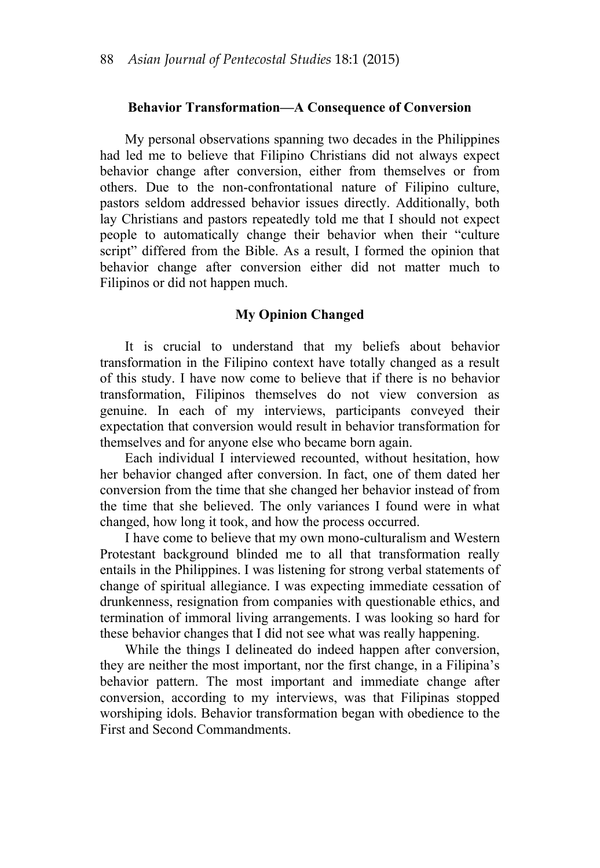#### **Behavior Transformation—A Consequence of Conversion**

My personal observations spanning two decades in the Philippines had led me to believe that Filipino Christians did not always expect behavior change after conversion, either from themselves or from others. Due to the non-confrontational nature of Filipino culture, pastors seldom addressed behavior issues directly. Additionally, both lay Christians and pastors repeatedly told me that I should not expect people to automatically change their behavior when their "culture script" differed from the Bible. As a result, I formed the opinion that behavior change after conversion either did not matter much to Filipinos or did not happen much.

#### **My Opinion Changed**

It is crucial to understand that my beliefs about behavior transformation in the Filipino context have totally changed as a result of this study. I have now come to believe that if there is no behavior transformation, Filipinos themselves do not view conversion as genuine. In each of my interviews, participants conveyed their expectation that conversion would result in behavior transformation for themselves and for anyone else who became born again.

Each individual I interviewed recounted, without hesitation, how her behavior changed after conversion. In fact, one of them dated her conversion from the time that she changed her behavior instead of from the time that she believed. The only variances I found were in what changed, how long it took, and how the process occurred.

I have come to believe that my own mono-culturalism and Western Protestant background blinded me to all that transformation really entails in the Philippines. I was listening for strong verbal statements of change of spiritual allegiance. I was expecting immediate cessation of drunkenness, resignation from companies with questionable ethics, and termination of immoral living arrangements. I was looking so hard for these behavior changes that I did not see what was really happening.

While the things I delineated do indeed happen after conversion, they are neither the most important, nor the first change, in a Filipina's behavior pattern. The most important and immediate change after conversion, according to my interviews, was that Filipinas stopped worshiping idols. Behavior transformation began with obedience to the First and Second Commandments.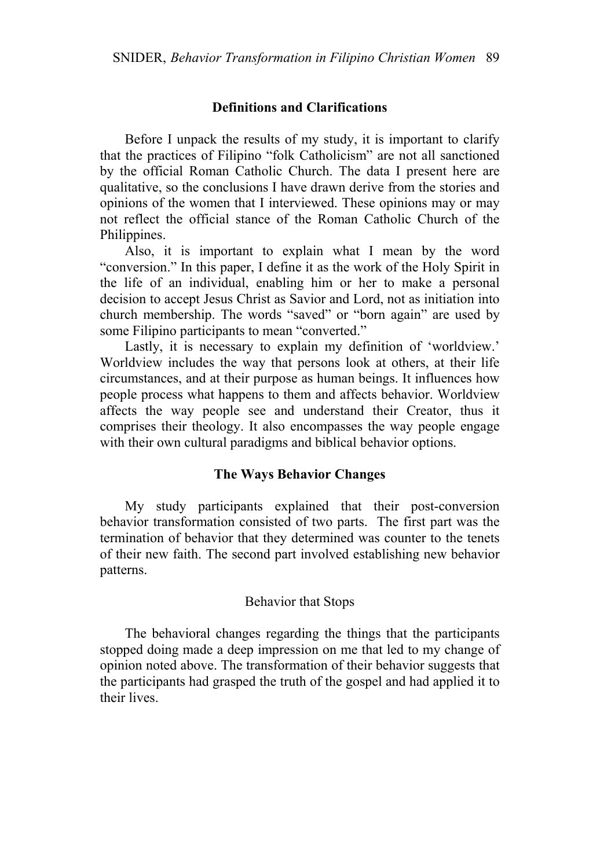# **Definitions and Clarifications**

Before I unpack the results of my study, it is important to clarify that the practices of Filipino "folk Catholicism" are not all sanctioned by the official Roman Catholic Church. The data I present here are qualitative, so the conclusions I have drawn derive from the stories and opinions of the women that I interviewed. These opinions may or may not reflect the official stance of the Roman Catholic Church of the Philippines.

Also, it is important to explain what I mean by the word "conversion." In this paper, I define it as the work of the Holy Spirit in the life of an individual, enabling him or her to make a personal decision to accept Jesus Christ as Savior and Lord, not as initiation into church membership. The words "saved" or "born again" are used by some Filipino participants to mean "converted."

Lastly, it is necessary to explain my definition of 'worldview.' Worldview includes the way that persons look at others, at their life circumstances, and at their purpose as human beings. It influences how people process what happens to them and affects behavior. Worldview affects the way people see and understand their Creator, thus it comprises their theology. It also encompasses the way people engage with their own cultural paradigms and biblical behavior options.

#### **The Ways Behavior Changes**

My study participants explained that their post-conversion behavior transformation consisted of two parts. The first part was the termination of behavior that they determined was counter to the tenets of their new faith. The second part involved establishing new behavior patterns.

#### Behavior that Stops

The behavioral changes regarding the things that the participants stopped doing made a deep impression on me that led to my change of opinion noted above. The transformation of their behavior suggests that the participants had grasped the truth of the gospel and had applied it to their lives.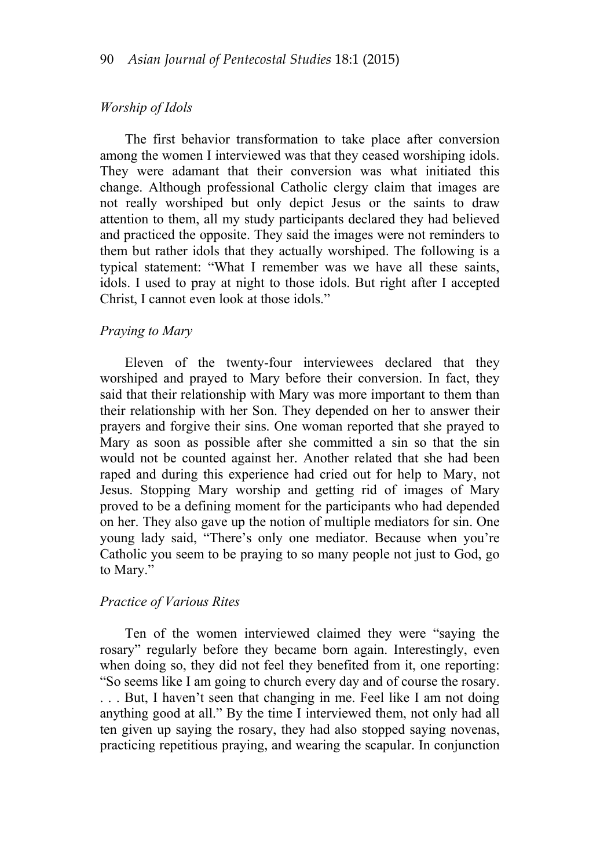### *Worship of Idols*

The first behavior transformation to take place after conversion among the women I interviewed was that they ceased worshiping idols. They were adamant that their conversion was what initiated this change. Although professional Catholic clergy claim that images are not really worshiped but only depict Jesus or the saints to draw attention to them, all my study participants declared they had believed and practiced the opposite. They said the images were not reminders to them but rather idols that they actually worshiped. The following is a typical statement: "What I remember was we have all these saints, idols. I used to pray at night to those idols. But right after I accepted Christ, I cannot even look at those idols."

#### *Praying to Mary*

Eleven of the twenty-four interviewees declared that they worshiped and prayed to Mary before their conversion. In fact, they said that their relationship with Mary was more important to them than their relationship with her Son. They depended on her to answer their prayers and forgive their sins. One woman reported that she prayed to Mary as soon as possible after she committed a sin so that the sin would not be counted against her. Another related that she had been raped and during this experience had cried out for help to Mary, not Jesus. Stopping Mary worship and getting rid of images of Mary proved to be a defining moment for the participants who had depended on her. They also gave up the notion of multiple mediators for sin. One young lady said, "There's only one mediator. Because when you're Catholic you seem to be praying to so many people not just to God, go to Mary."

#### *Practice of Various Rites*

Ten of the women interviewed claimed they were "saying the rosary" regularly before they became born again. Interestingly, even when doing so, they did not feel they benefited from it, one reporting: "So seems like I am going to church every day and of course the rosary. . . . But, I haven't seen that changing in me. Feel like I am not doing anything good at all." By the time I interviewed them, not only had all ten given up saying the rosary, they had also stopped saying novenas, practicing repetitious praying, and wearing the scapular. In conjunction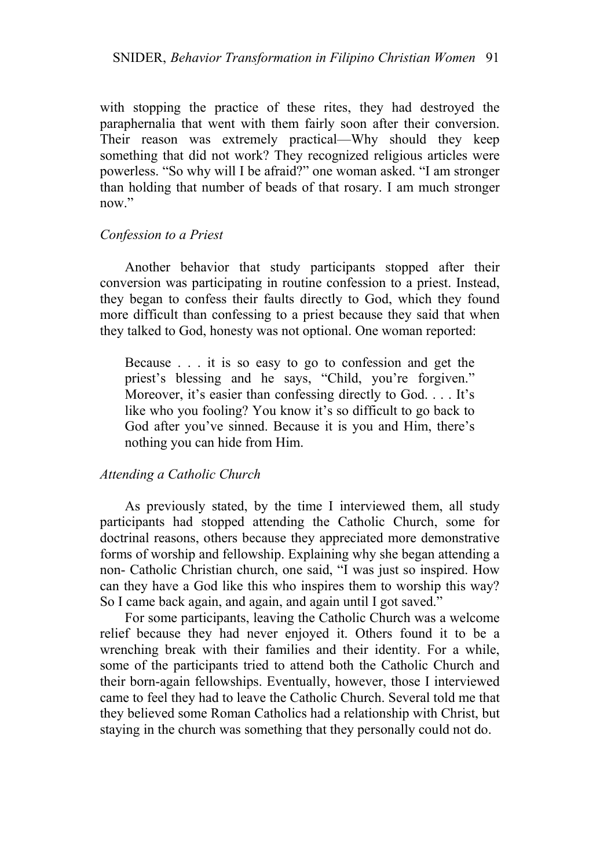with stopping the practice of these rites, they had destroyed the paraphernalia that went with them fairly soon after their conversion. Their reason was extremely practical—Why should they keep something that did not work? They recognized religious articles were powerless. "So why will I be afraid?" one woman asked. "I am stronger than holding that number of beads of that rosary. I am much stronger now"

### *Confession to a Priest*

Another behavior that study participants stopped after their conversion was participating in routine confession to a priest. Instead, they began to confess their faults directly to God, which they found more difficult than confessing to a priest because they said that when they talked to God, honesty was not optional. One woman reported:

Because . . . it is so easy to go to confession and get the priest's blessing and he says, "Child, you're forgiven." Moreover, it's easier than confessing directly to God. . . . It's like who you fooling? You know it's so difficult to go back to God after you've sinned. Because it is you and Him, there's nothing you can hide from Him.

### *Attending a Catholic Church*

As previously stated, by the time I interviewed them, all study participants had stopped attending the Catholic Church, some for doctrinal reasons, others because they appreciated more demonstrative forms of worship and fellowship. Explaining why she began attending a non- Catholic Christian church, one said, "I was just so inspired. How can they have a God like this who inspires them to worship this way? So I came back again, and again, and again until I got saved."

For some participants, leaving the Catholic Church was a welcome relief because they had never enjoyed it. Others found it to be a wrenching break with their families and their identity. For a while, some of the participants tried to attend both the Catholic Church and their born-again fellowships. Eventually, however, those I interviewed came to feel they had to leave the Catholic Church. Several told me that they believed some Roman Catholics had a relationship with Christ, but staying in the church was something that they personally could not do.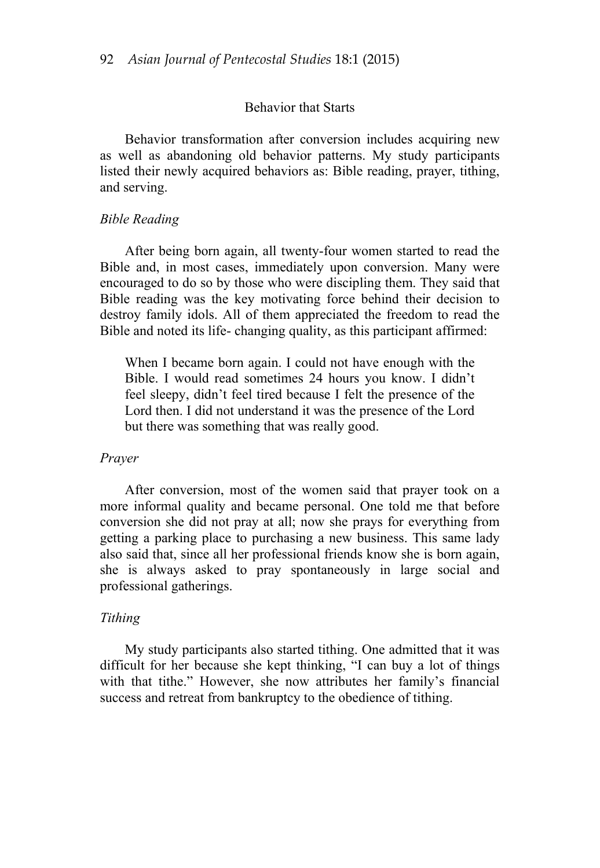#### Behavior that Starts

Behavior transformation after conversion includes acquiring new as well as abandoning old behavior patterns. My study participants listed their newly acquired behaviors as: Bible reading, prayer, tithing, and serving.

## *Bible Reading*

After being born again, all twenty-four women started to read the Bible and, in most cases, immediately upon conversion. Many were encouraged to do so by those who were discipling them. They said that Bible reading was the key motivating force behind their decision to destroy family idols. All of them appreciated the freedom to read the Bible and noted its life- changing quality, as this participant affirmed:

When I became born again. I could not have enough with the Bible. I would read sometimes 24 hours you know. I didn't feel sleepy, didn't feel tired because I felt the presence of the Lord then. I did not understand it was the presence of the Lord but there was something that was really good.

### *Prayer*

After conversion, most of the women said that prayer took on a more informal quality and became personal. One told me that before conversion she did not pray at all; now she prays for everything from getting a parking place to purchasing a new business. This same lady also said that, since all her professional friends know she is born again, she is always asked to pray spontaneously in large social and professional gatherings.

#### *Tithing*

My study participants also started tithing. One admitted that it was difficult for her because she kept thinking, "I can buy a lot of things with that tithe." However, she now attributes her family's financial success and retreat from bankruptcy to the obedience of tithing.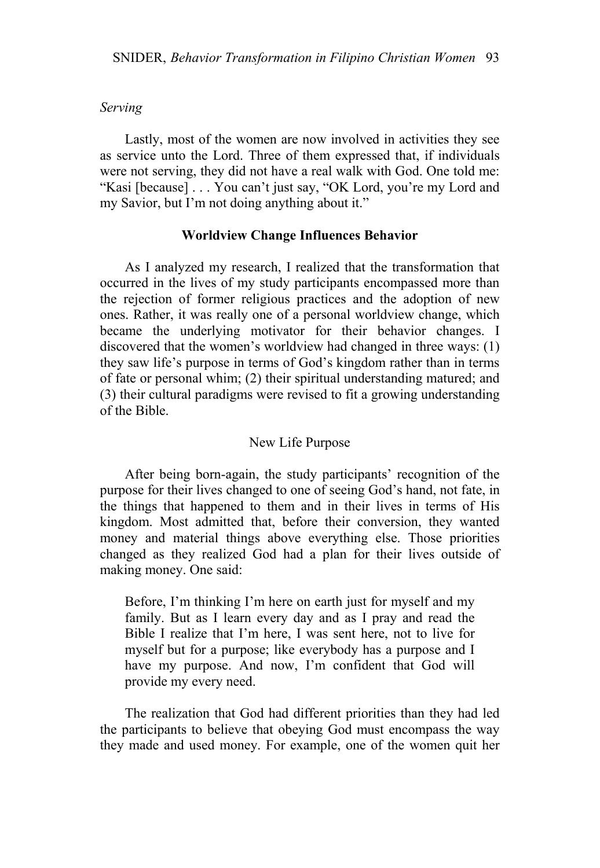## *Serving*

Lastly, most of the women are now involved in activities they see as service unto the Lord. Three of them expressed that, if individuals were not serving, they did not have a real walk with God. One told me: "Kasi [because] . . . You can't just say, "OK Lord, you're my Lord and my Savior, but I'm not doing anything about it."

#### **Worldview Change Influences Behavior**

As I analyzed my research, I realized that the transformation that occurred in the lives of my study participants encompassed more than the rejection of former religious practices and the adoption of new ones. Rather, it was really one of a personal worldview change, which became the underlying motivator for their behavior changes. I discovered that the women's worldview had changed in three ways: (1) they saw life's purpose in terms of God's kingdom rather than in terms of fate or personal whim; (2) their spiritual understanding matured; and (3) their cultural paradigms were revised to fit a growing understanding of the Bible.

### New Life Purpose

After being born-again, the study participants' recognition of the purpose for their lives changed to one of seeing God's hand, not fate, in the things that happened to them and in their lives in terms of His kingdom. Most admitted that, before their conversion, they wanted money and material things above everything else. Those priorities changed as they realized God had a plan for their lives outside of making money. One said:

Before, I'm thinking I'm here on earth just for myself and my family. But as I learn every day and as I pray and read the Bible I realize that I'm here, I was sent here, not to live for myself but for a purpose; like everybody has a purpose and I have my purpose. And now, I'm confident that God will provide my every need.

The realization that God had different priorities than they had led the participants to believe that obeying God must encompass the way they made and used money. For example, one of the women quit her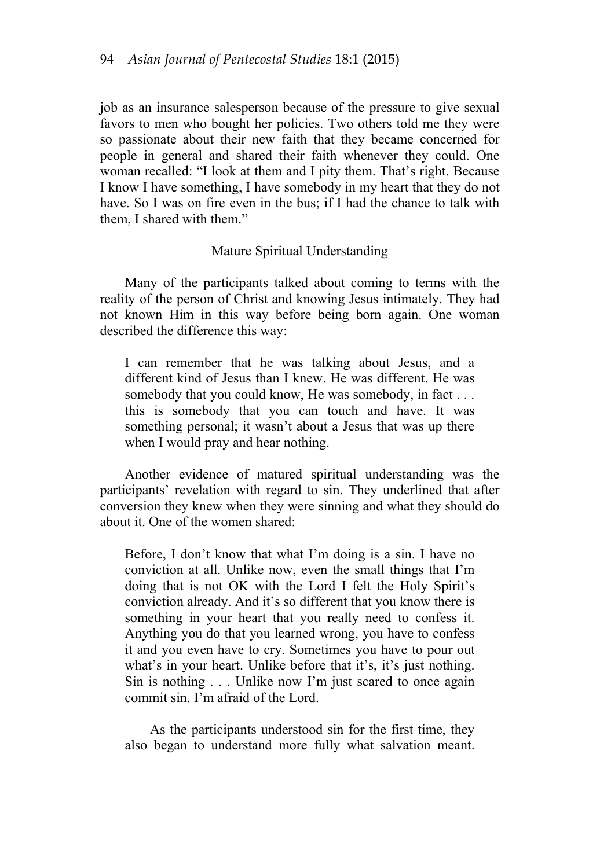job as an insurance salesperson because of the pressure to give sexual favors to men who bought her policies. Two others told me they were so passionate about their new faith that they became concerned for people in general and shared their faith whenever they could. One woman recalled: "I look at them and I pity them. That's right. Because I know I have something, I have somebody in my heart that they do not have. So I was on fire even in the bus; if I had the chance to talk with them, I shared with them."

### Mature Spiritual Understanding

Many of the participants talked about coming to terms with the reality of the person of Christ and knowing Jesus intimately. They had not known Him in this way before being born again. One woman described the difference this way:

I can remember that he was talking about Jesus, and a different kind of Jesus than I knew. He was different. He was somebody that you could know, He was somebody, in fact . . . this is somebody that you can touch and have. It was something personal; it wasn't about a Jesus that was up there when I would pray and hear nothing.

Another evidence of matured spiritual understanding was the participants' revelation with regard to sin. They underlined that after conversion they knew when they were sinning and what they should do about it. One of the women shared:

Before, I don't know that what I'm doing is a sin. I have no conviction at all. Unlike now, even the small things that I'm doing that is not OK with the Lord I felt the Holy Spirit's conviction already. And it's so different that you know there is something in your heart that you really need to confess it. Anything you do that you learned wrong, you have to confess it and you even have to cry. Sometimes you have to pour out what's in your heart. Unlike before that it's, it's just nothing. Sin is nothing . . . Unlike now I'm just scared to once again commit sin. I'm afraid of the Lord.

As the participants understood sin for the first time, they also began to understand more fully what salvation meant.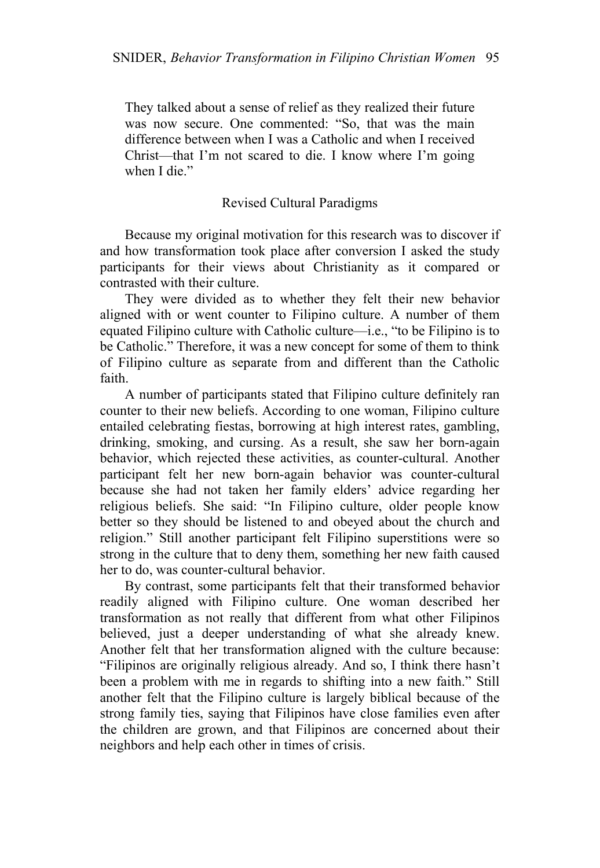They talked about a sense of relief as they realized their future was now secure. One commented: "So, that was the main difference between when I was a Catholic and when I received Christ—that I'm not scared to die. I know where I'm going when I die."

# Revised Cultural Paradigms

Because my original motivation for this research was to discover if and how transformation took place after conversion I asked the study participants for their views about Christianity as it compared or contrasted with their culture.

They were divided as to whether they felt their new behavior aligned with or went counter to Filipino culture. A number of them equated Filipino culture with Catholic culture—i.e., "to be Filipino is to be Catholic." Therefore, it was a new concept for some of them to think of Filipino culture as separate from and different than the Catholic faith.

A number of participants stated that Filipino culture definitely ran counter to their new beliefs. According to one woman, Filipino culture entailed celebrating fiestas, borrowing at high interest rates, gambling, drinking, smoking, and cursing. As a result, she saw her born-again behavior, which rejected these activities, as counter-cultural. Another participant felt her new born-again behavior was counter-cultural because she had not taken her family elders' advice regarding her religious beliefs. She said: "In Filipino culture, older people know better so they should be listened to and obeyed about the church and religion." Still another participant felt Filipino superstitions were so strong in the culture that to deny them, something her new faith caused her to do, was counter-cultural behavior.

By contrast, some participants felt that their transformed behavior readily aligned with Filipino culture. One woman described her transformation as not really that different from what other Filipinos believed, just a deeper understanding of what she already knew. Another felt that her transformation aligned with the culture because: "Filipinos are originally religious already. And so, I think there hasn't been a problem with me in regards to shifting into a new faith." Still another felt that the Filipino culture is largely biblical because of the strong family ties, saying that Filipinos have close families even after the children are grown, and that Filipinos are concerned about their neighbors and help each other in times of crisis.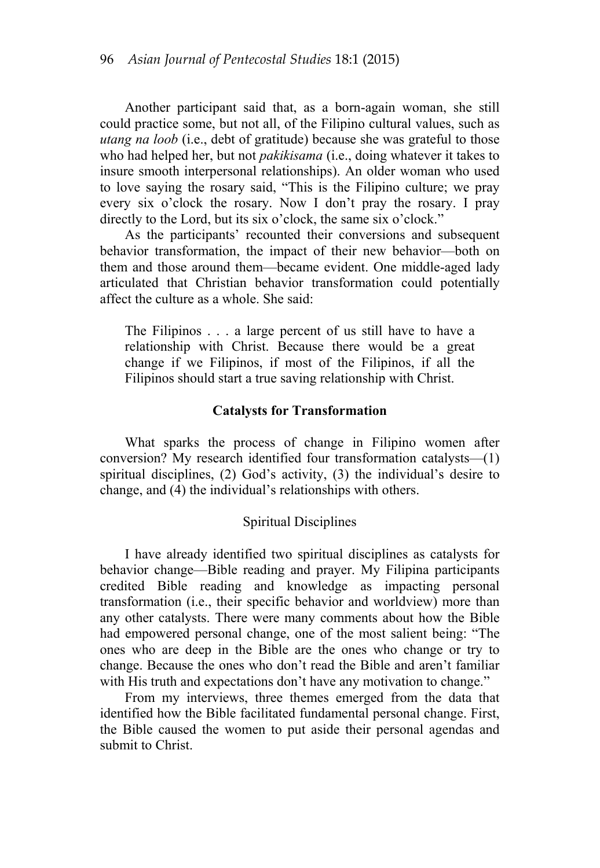Another participant said that, as a born-again woman, she still could practice some, but not all, of the Filipino cultural values, such as *utang na loob* (i.e., debt of gratitude) because she was grateful to those who had helped her, but not *pakikisama* (i.e., doing whatever it takes to insure smooth interpersonal relationships). An older woman who used to love saying the rosary said, "This is the Filipino culture; we pray every six o'clock the rosary. Now I don't pray the rosary. I pray directly to the Lord, but its six o'clock, the same six o'clock."

As the participants' recounted their conversions and subsequent behavior transformation, the impact of their new behavior—both on them and those around them—became evident. One middle-aged lady articulated that Christian behavior transformation could potentially affect the culture as a whole. She said:

The Filipinos . . . a large percent of us still have to have a relationship with Christ. Because there would be a great change if we Filipinos, if most of the Filipinos, if all the Filipinos should start a true saving relationship with Christ.

### **Catalysts for Transformation**

What sparks the process of change in Filipino women after conversion? My research identified four transformation catalysts—(1) spiritual disciplines, (2) God's activity, (3) the individual's desire to change, and (4) the individual's relationships with others.

#### Spiritual Disciplines

I have already identified two spiritual disciplines as catalysts for behavior change—Bible reading and prayer. My Filipina participants credited Bible reading and knowledge as impacting personal transformation (i.e., their specific behavior and worldview) more than any other catalysts. There were many comments about how the Bible had empowered personal change, one of the most salient being: "The ones who are deep in the Bible are the ones who change or try to change. Because the ones who don't read the Bible and aren't familiar with His truth and expectations don't have any motivation to change."

From my interviews, three themes emerged from the data that identified how the Bible facilitated fundamental personal change. First, the Bible caused the women to put aside their personal agendas and submit to Christ.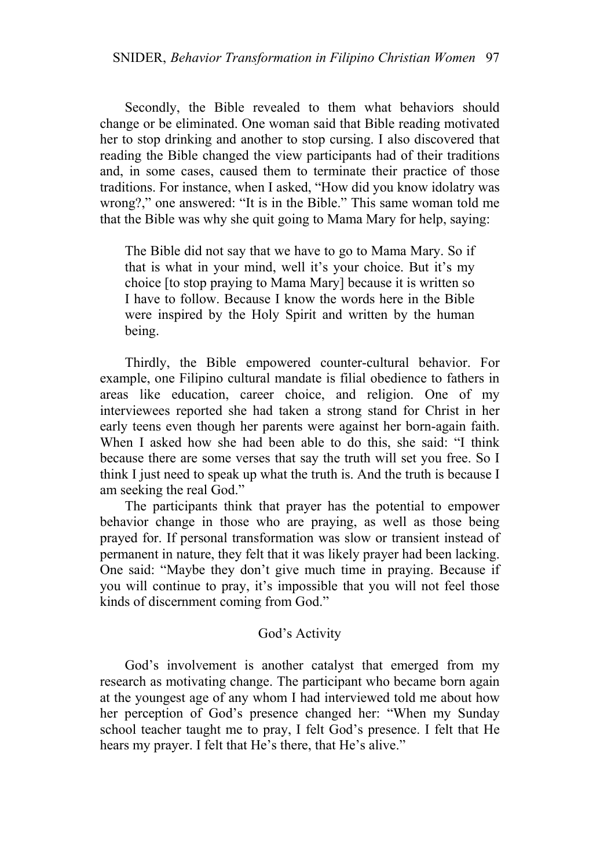Secondly, the Bible revealed to them what behaviors should change or be eliminated. One woman said that Bible reading motivated her to stop drinking and another to stop cursing. I also discovered that reading the Bible changed the view participants had of their traditions and, in some cases, caused them to terminate their practice of those traditions. For instance, when I asked, "How did you know idolatry was wrong?," one answered: "It is in the Bible." This same woman told me that the Bible was why she quit going to Mama Mary for help, saying:

The Bible did not say that we have to go to Mama Mary. So if that is what in your mind, well it's your choice. But it's my choice [to stop praying to Mama Mary] because it is written so I have to follow. Because I know the words here in the Bible were inspired by the Holy Spirit and written by the human being.

Thirdly, the Bible empowered counter-cultural behavior. For example, one Filipino cultural mandate is filial obedience to fathers in areas like education, career choice, and religion. One of my interviewees reported she had taken a strong stand for Christ in her early teens even though her parents were against her born-again faith. When I asked how she had been able to do this, she said: "I think because there are some verses that say the truth will set you free. So I think I just need to speak up what the truth is. And the truth is because I am seeking the real God."

The participants think that prayer has the potential to empower behavior change in those who are praying, as well as those being prayed for. If personal transformation was slow or transient instead of permanent in nature, they felt that it was likely prayer had been lacking. One said: "Maybe they don't give much time in praying. Because if you will continue to pray, it's impossible that you will not feel those kinds of discernment coming from God."

# God's Activity

God's involvement is another catalyst that emerged from my research as motivating change. The participant who became born again at the youngest age of any whom I had interviewed told me about how her perception of God's presence changed her: "When my Sunday school teacher taught me to pray, I felt God's presence. I felt that He hears my prayer. I felt that He's there, that He's alive."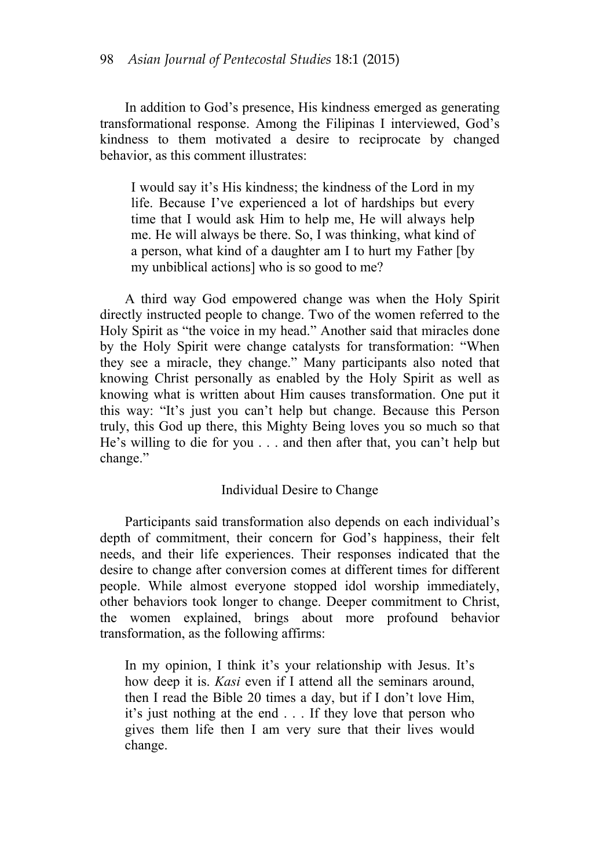In addition to God's presence, His kindness emerged as generating transformational response. Among the Filipinas I interviewed, God's kindness to them motivated a desire to reciprocate by changed behavior, as this comment illustrates:

I would say it's His kindness; the kindness of the Lord in my life. Because I've experienced a lot of hardships but every time that I would ask Him to help me, He will always help me. He will always be there. So, I was thinking, what kind of a person, what kind of a daughter am I to hurt my Father [by my unbiblical actions] who is so good to me?

A third way God empowered change was when the Holy Spirit directly instructed people to change. Two of the women referred to the Holy Spirit as "the voice in my head." Another said that miracles done by the Holy Spirit were change catalysts for transformation: "When they see a miracle, they change." Many participants also noted that knowing Christ personally as enabled by the Holy Spirit as well as knowing what is written about Him causes transformation. One put it this way: "It's just you can't help but change. Because this Person truly, this God up there, this Mighty Being loves you so much so that He's willing to die for you . . . and then after that, you can't help but change."

# Individual Desire to Change

Participants said transformation also depends on each individual's depth of commitment, their concern for God's happiness, their felt needs, and their life experiences. Their responses indicated that the desire to change after conversion comes at different times for different people. While almost everyone stopped idol worship immediately, other behaviors took longer to change. Deeper commitment to Christ, the women explained, brings about more profound behavior transformation, as the following affirms:

In my opinion, I think it's your relationship with Jesus. It's how deep it is. *Kasi* even if I attend all the seminars around, then I read the Bible 20 times a day, but if I don't love Him, it's just nothing at the end . . . If they love that person who gives them life then I am very sure that their lives would change.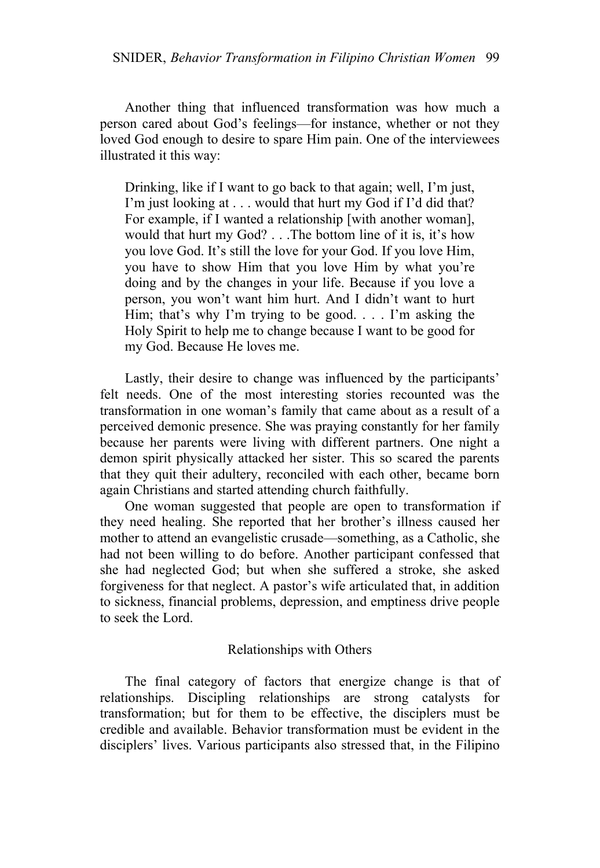Another thing that influenced transformation was how much a person cared about God's feelings—for instance, whether or not they loved God enough to desire to spare Him pain. One of the interviewees illustrated it this way:

Drinking, like if I want to go back to that again; well, I'm just, I'm just looking at . . . would that hurt my God if I'd did that? For example, if I wanted a relationship [with another woman], would that hurt my God? . . .The bottom line of it is, it's how you love God. It's still the love for your God. If you love Him, you have to show Him that you love Him by what you're doing and by the changes in your life. Because if you love a person, you won't want him hurt. And I didn't want to hurt Him; that's why I'm trying to be good. . . . I'm asking the Holy Spirit to help me to change because I want to be good for my God. Because He loves me.

Lastly, their desire to change was influenced by the participants' felt needs. One of the most interesting stories recounted was the transformation in one woman's family that came about as a result of a perceived demonic presence. She was praying constantly for her family because her parents were living with different partners. One night a demon spirit physically attacked her sister. This so scared the parents that they quit their adultery, reconciled with each other, became born again Christians and started attending church faithfully.

One woman suggested that people are open to transformation if they need healing. She reported that her brother's illness caused her mother to attend an evangelistic crusade—something, as a Catholic, she had not been willing to do before. Another participant confessed that she had neglected God; but when she suffered a stroke, she asked forgiveness for that neglect. A pastor's wife articulated that, in addition to sickness, financial problems, depression, and emptiness drive people to seek the Lord.

### Relationships with Others

The final category of factors that energize change is that of relationships. Discipling relationships are strong catalysts for transformation; but for them to be effective, the disciplers must be credible and available. Behavior transformation must be evident in the disciplers' lives. Various participants also stressed that, in the Filipino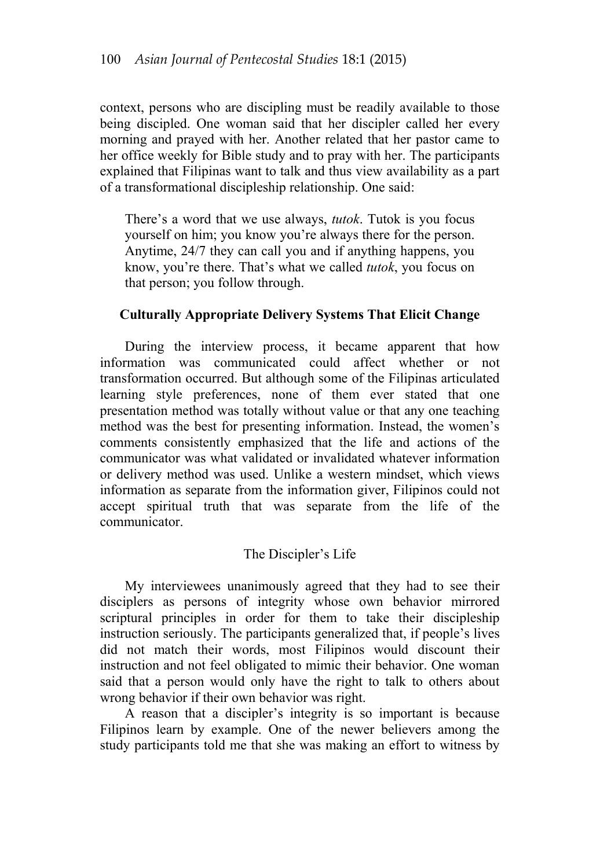context, persons who are discipling must be readily available to those being discipled. One woman said that her discipler called her every morning and prayed with her. Another related that her pastor came to her office weekly for Bible study and to pray with her. The participants explained that Filipinas want to talk and thus view availability as a part of a transformational discipleship relationship. One said:

There's a word that we use always, *tutok*. Tutok is you focus yourself on him; you know you're always there for the person. Anytime, 24/7 they can call you and if anything happens, you know, you're there. That's what we called *tutok*, you focus on that person; you follow through.

# **Culturally Appropriate Delivery Systems That Elicit Change**

During the interview process, it became apparent that how information was communicated could affect whether or not transformation occurred. But although some of the Filipinas articulated learning style preferences, none of them ever stated that one presentation method was totally without value or that any one teaching method was the best for presenting information. Instead, the women's comments consistently emphasized that the life and actions of the communicator was what validated or invalidated whatever information or delivery method was used. Unlike a western mindset, which views information as separate from the information giver, Filipinos could not accept spiritual truth that was separate from the life of the communicator.

# The Discipler's Life

My interviewees unanimously agreed that they had to see their disciplers as persons of integrity whose own behavior mirrored scriptural principles in order for them to take their discipleship instruction seriously. The participants generalized that, if people's lives did not match their words, most Filipinos would discount their instruction and not feel obligated to mimic their behavior. One woman said that a person would only have the right to talk to others about wrong behavior if their own behavior was right.

A reason that a discipler's integrity is so important is because Filipinos learn by example. One of the newer believers among the study participants told me that she was making an effort to witness by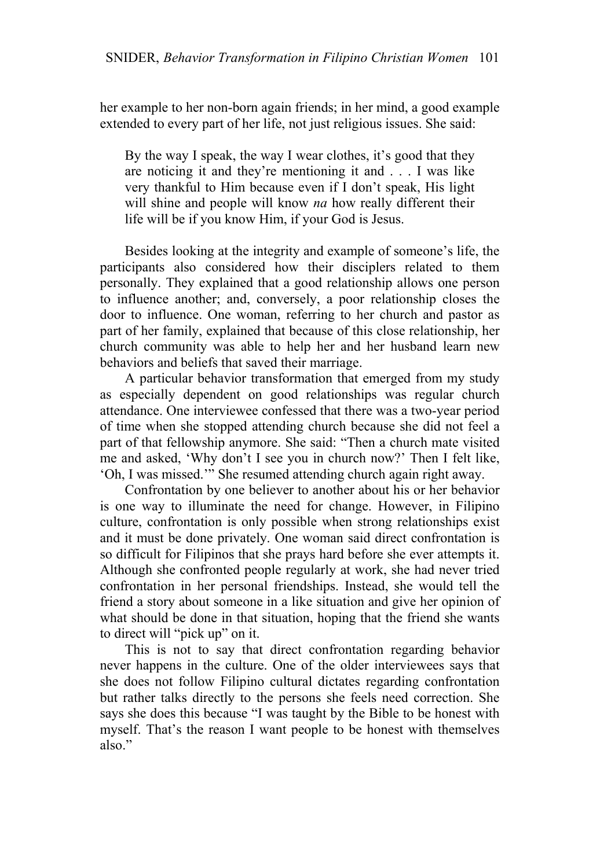her example to her non-born again friends; in her mind, a good example extended to every part of her life, not just religious issues. She said:

By the way I speak, the way I wear clothes, it's good that they are noticing it and they're mentioning it and . . . I was like very thankful to Him because even if I don't speak, His light will shine and people will know *na* how really different their life will be if you know Him, if your God is Jesus.

Besides looking at the integrity and example of someone's life, the participants also considered how their disciplers related to them personally. They explained that a good relationship allows one person to influence another; and, conversely, a poor relationship closes the door to influence. One woman, referring to her church and pastor as part of her family, explained that because of this close relationship, her church community was able to help her and her husband learn new behaviors and beliefs that saved their marriage.

A particular behavior transformation that emerged from my study as especially dependent on good relationships was regular church attendance. One interviewee confessed that there was a two-year period of time when she stopped attending church because she did not feel a part of that fellowship anymore. She said: "Then a church mate visited me and asked, 'Why don't I see you in church now?' Then I felt like, 'Oh, I was missed.'" She resumed attending church again right away.

Confrontation by one believer to another about his or her behavior is one way to illuminate the need for change. However, in Filipino culture, confrontation is only possible when strong relationships exist and it must be done privately. One woman said direct confrontation is so difficult for Filipinos that she prays hard before she ever attempts it. Although she confronted people regularly at work, she had never tried confrontation in her personal friendships. Instead, she would tell the friend a story about someone in a like situation and give her opinion of what should be done in that situation, hoping that the friend she wants to direct will "pick up" on it.

This is not to say that direct confrontation regarding behavior never happens in the culture. One of the older interviewees says that she does not follow Filipino cultural dictates regarding confrontation but rather talks directly to the persons she feels need correction. She says she does this because "I was taught by the Bible to be honest with myself. That's the reason I want people to be honest with themselves also."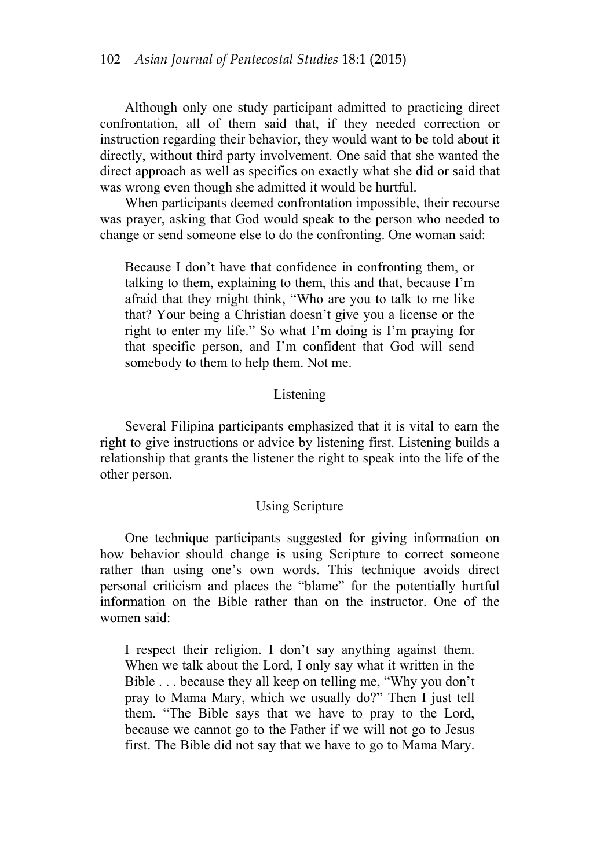Although only one study participant admitted to practicing direct confrontation, all of them said that, if they needed correction or instruction regarding their behavior, they would want to be told about it directly, without third party involvement. One said that she wanted the direct approach as well as specifics on exactly what she did or said that was wrong even though she admitted it would be hurtful.

When participants deemed confrontation impossible, their recourse was prayer, asking that God would speak to the person who needed to change or send someone else to do the confronting. One woman said:

Because I don't have that confidence in confronting them, or talking to them, explaining to them, this and that, because I'm afraid that they might think, "Who are you to talk to me like that? Your being a Christian doesn't give you a license or the right to enter my life." So what I'm doing is I'm praying for that specific person, and I'm confident that God will send somebody to them to help them. Not me.

## Listening

Several Filipina participants emphasized that it is vital to earn the right to give instructions or advice by listening first. Listening builds a relationship that grants the listener the right to speak into the life of the other person.

### Using Scripture

One technique participants suggested for giving information on how behavior should change is using Scripture to correct someone rather than using one's own words. This technique avoids direct personal criticism and places the "blame" for the potentially hurtful information on the Bible rather than on the instructor. One of the women said:

I respect their religion. I don't say anything against them. When we talk about the Lord, I only say what it written in the Bible . . . because they all keep on telling me, "Why you don't pray to Mama Mary, which we usually do?" Then I just tell them. "The Bible says that we have to pray to the Lord, because we cannot go to the Father if we will not go to Jesus first. The Bible did not say that we have to go to Mama Mary.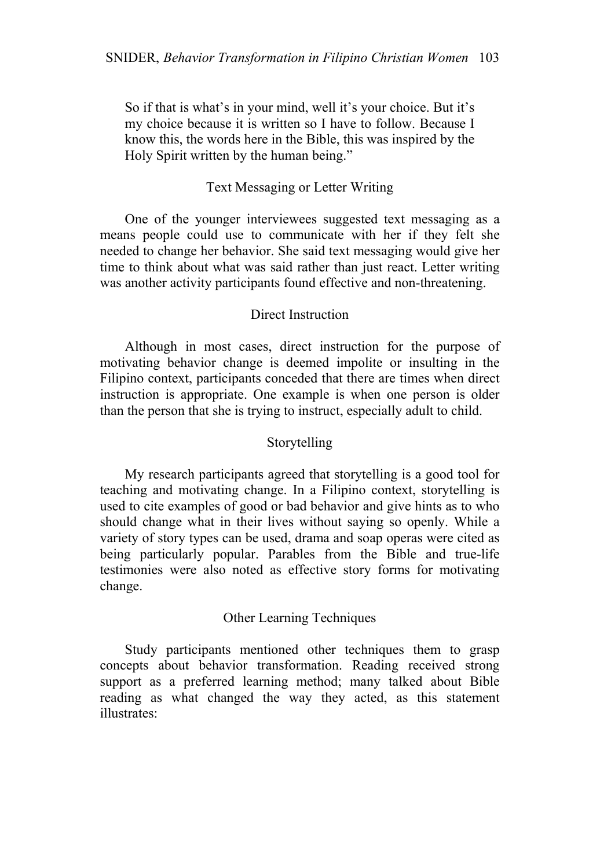So if that is what's in your mind, well it's your choice. But it's my choice because it is written so I have to follow. Because I know this, the words here in the Bible, this was inspired by the Holy Spirit written by the human being."

## Text Messaging or Letter Writing

One of the younger interviewees suggested text messaging as a means people could use to communicate with her if they felt she needed to change her behavior. She said text messaging would give her time to think about what was said rather than just react. Letter writing was another activity participants found effective and non-threatening.

## Direct Instruction

Although in most cases, direct instruction for the purpose of motivating behavior change is deemed impolite or insulting in the Filipino context, participants conceded that there are times when direct instruction is appropriate. One example is when one person is older than the person that she is trying to instruct, especially adult to child.

# Storytelling

My research participants agreed that storytelling is a good tool for teaching and motivating change. In a Filipino context, storytelling is used to cite examples of good or bad behavior and give hints as to who should change what in their lives without saying so openly. While a variety of story types can be used, drama and soap operas were cited as being particularly popular. Parables from the Bible and true-life testimonies were also noted as effective story forms for motivating change.

# Other Learning Techniques

Study participants mentioned other techniques them to grasp concepts about behavior transformation. Reading received strong support as a preferred learning method; many talked about Bible reading as what changed the way they acted, as this statement illustrates: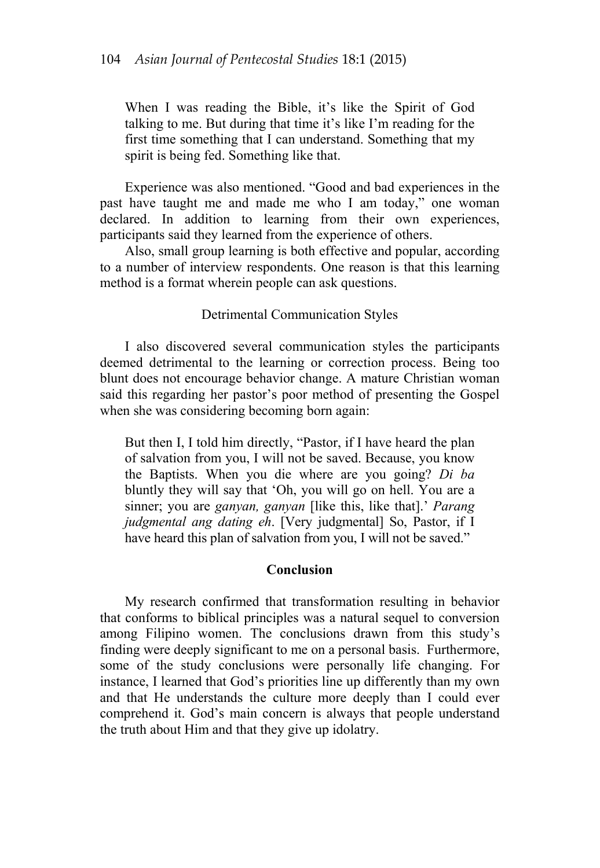When I was reading the Bible, it's like the Spirit of God talking to me. But during that time it's like I'm reading for the first time something that I can understand. Something that my spirit is being fed. Something like that.

Experience was also mentioned. "Good and bad experiences in the past have taught me and made me who I am today," one woman declared. In addition to learning from their own experiences, participants said they learned from the experience of others.

Also, small group learning is both effective and popular, according to a number of interview respondents. One reason is that this learning method is a format wherein people can ask questions.

## Detrimental Communication Styles

I also discovered several communication styles the participants deemed detrimental to the learning or correction process. Being too blunt does not encourage behavior change. A mature Christian woman said this regarding her pastor's poor method of presenting the Gospel when she was considering becoming born again:

But then I, I told him directly, "Pastor, if I have heard the plan of salvation from you, I will not be saved. Because, you know the Baptists. When you die where are you going? *Di ba* bluntly they will say that 'Oh, you will go on hell. You are a sinner; you are *ganyan, ganyan* [like this, like that].' *Parang judgmental ang dating eh*. [Very judgmental] So, Pastor, if I have heard this plan of salvation from you, I will not be saved."

### **Conclusion**

My research confirmed that transformation resulting in behavior that conforms to biblical principles was a natural sequel to conversion among Filipino women. The conclusions drawn from this study's finding were deeply significant to me on a personal basis. Furthermore, some of the study conclusions were personally life changing. For instance, I learned that God's priorities line up differently than my own and that He understands the culture more deeply than I could ever comprehend it. God's main concern is always that people understand the truth about Him and that they give up idolatry.